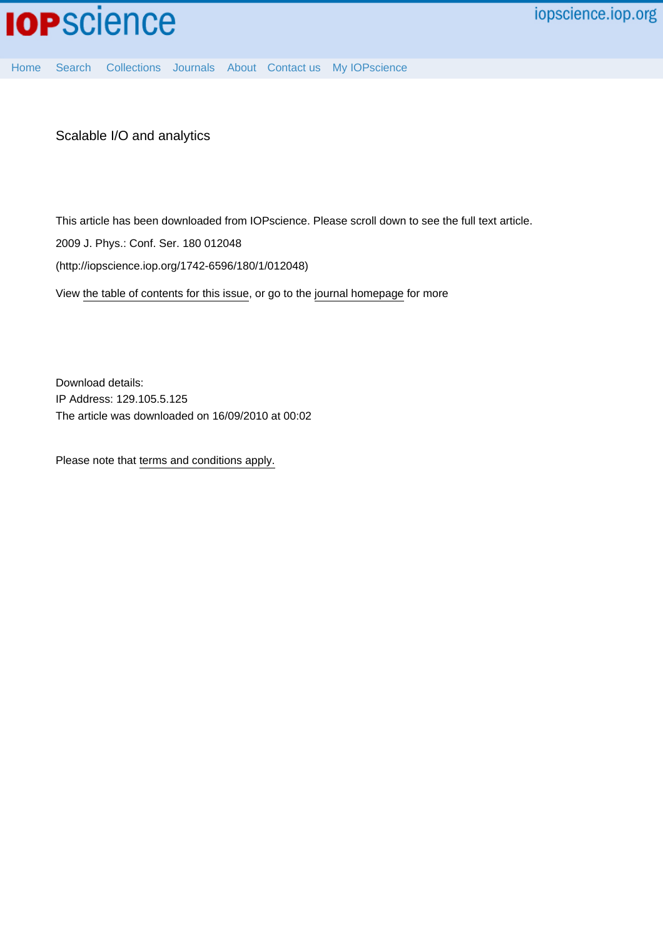

[Home](http://iopscience.iop.org/) [Search](http://iopscience.iop.org/search) [Collections](http://iopscience.iop.org/collections) [Journals](http://iopscience.iop.org/journals) [About](http://iopscience.iop.org/page/aboutioppublishing) [Contact us](http://iopscience.iop.org/contact) [My IOPscience](http://iopscience.iop.org/myiopscience)

Scalable I/O and analytics

This article has been downloaded from IOPscience. Please scroll down to see the full text article.

2009 J. Phys.: Conf. Ser. 180 012048

(http://iopscience.iop.org/1742-6596/180/1/012048)

View [the table of contents for this issue](http://iopscience.iop.org/1742-6596/180/1), or go to the [journal homepage](http://iopscience.iop.org/1742-6596) for more

Download details: IP Address: 129.105.5.125 The article was downloaded on 16/09/2010 at 00:02

Please note that [terms and conditions apply.](http://iopscience.iop.org/page/terms)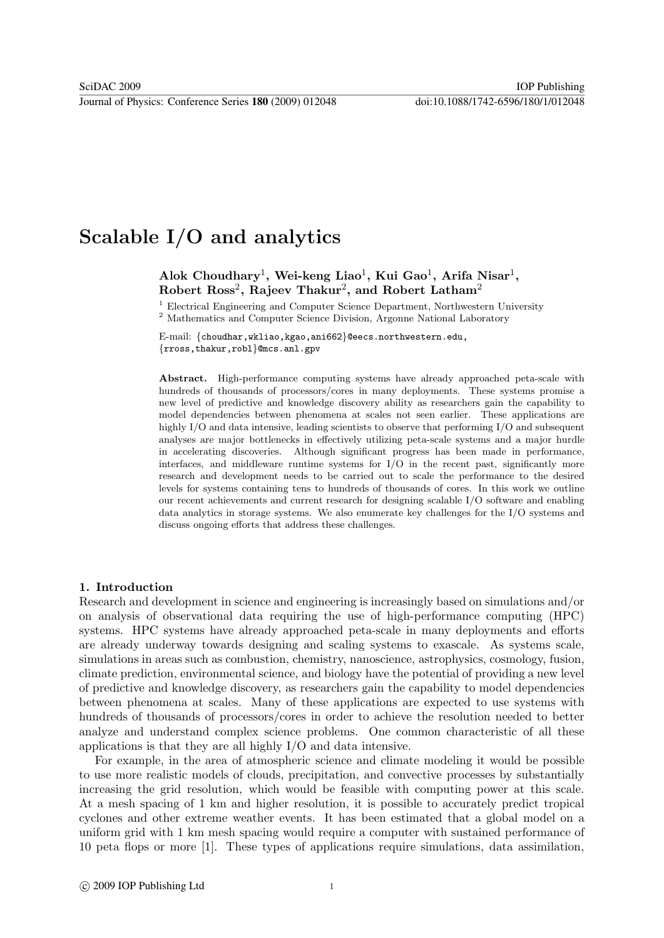# Scalable I/O and analytics

Alok Choudhary<sup>1</sup>, Wei-keng Liao<sup>1</sup>, Kui Gao<sup>1</sup>, Arifa Nisar<sup>1</sup>, Robert Ross<sup>2</sup>, Rajeev Thakur<sup>2</sup>, and Robert Latham<sup>2</sup>

<sup>1</sup> Electrical Engineering and Computer Science Department, Northwestern University <sup>2</sup> Mathematics and Computer Science Division, Argonne National Laboratory

E-mail: {choudhar,wkliao,kgao,ani662}@eecs.northwestern.edu, {rross,thakur,robl}@mcs.anl.gpv

Abstract. High-performance computing systems have already approached peta-scale with hundreds of thousands of processors/cores in many deployments. These systems promise a new level of predictive and knowledge discovery ability as researchers gain the capability to model dependencies between phenomena at scales not seen earlier. These applications are highly I/O and data intensive, leading scientists to observe that performing I/O and subsequent analyses are major bottlenecks in effectively utilizing peta-scale systems and a major hurdle in accelerating discoveries. Although significant progress has been made in performance, interfaces, and middleware runtime systems for I/O in the recent past, significantly more research and development needs to be carried out to scale the performance to the desired levels for systems containing tens to hundreds of thousands of cores. In this work we outline our recent achievements and current research for designing scalable I/O software and enabling data analytics in storage systems. We also enumerate key challenges for the I/O systems and discuss ongoing efforts that address these challenges.

# 1. Introduction

Research and development in science and engineering is increasingly based on simulations and/or on analysis of observational data requiring the use of high-performance computing (HPC) systems. HPC systems have already approached peta-scale in many deployments and efforts are already underway towards designing and scaling systems to exascale. As systems scale, simulations in areas such as combustion, chemistry, nanoscience, astrophysics, cosmology, fusion, climate prediction, environmental science, and biology have the potential of providing a new level of predictive and knowledge discovery, as researchers gain the capability to model dependencies between phenomena at scales. Many of these applications are expected to use systems with hundreds of thousands of processors/cores in order to achieve the resolution needed to better analyze and understand complex science problems. One common characteristic of all these applications is that they are all highly I/O and data intensive.

For example, in the area of atmospheric science and climate modeling it would be possible to use more realistic models of clouds, precipitation, and convective processes by substantially increasing the grid resolution, which would be feasible with computing power at this scale. At a mesh spacing of 1 km and higher resolution, it is possible to accurately predict tropical cyclones and other extreme weather events. It has been estimated that a global model on a uniform grid with 1 km mesh spacing would require a computer with sustained performance of 10 peta flops or more [1]. These types of applications require simulations, data assimilation,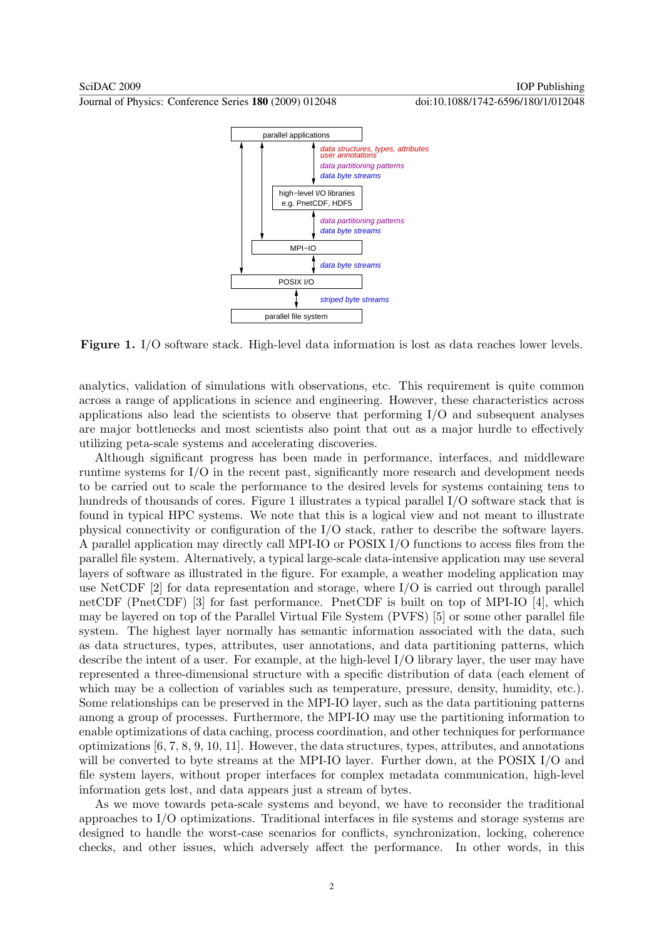SciDAC 2009 **IOP** Publishing

Journal of Physics: Conference Series **180** (2009) 012048 doi:10.1088/1742-6596/180/1/012048



Figure 1. I/O software stack. High-level data information is lost as data reaches lower levels.

analytics, validation of simulations with observations, etc. This requirement is quite common across a range of applications in science and engineering. However, these characteristics across applications also lead the scientists to observe that performing I/O and subsequent analyses are major bottlenecks and most scientists also point that out as a major hurdle to effectively utilizing peta-scale systems and accelerating discoveries.

Although significant progress has been made in performance, interfaces, and middleware runtime systems for I/O in the recent past, significantly more research and development needs to be carried out to scale the performance to the desired levels for systems containing tens to hundreds of thousands of cores. Figure 1 illustrates a typical parallel I/O software stack that is found in typical HPC systems. We note that this is a logical view and not meant to illustrate physical connectivity or configuration of the I/O stack, rather to describe the software layers. A parallel application may directly call MPI-IO or POSIX I/O functions to access files from the parallel file system. Alternatively, a typical large-scale data-intensive application may use several layers of software as illustrated in the figure. For example, a weather modeling application may use NetCDF [2] for data representation and storage, where I/O is carried out through parallel netCDF (PnetCDF) [3] for fast performance. PnetCDF is built on top of MPI-IO [4], which may be layered on top of the Parallel Virtual File System (PVFS) [5] or some other parallel file system. The highest layer normally has semantic information associated with the data, such as data structures, types, attributes, user annotations, and data partitioning patterns, which describe the intent of a user. For example, at the high-level I/O library layer, the user may have represented a three-dimensional structure with a specific distribution of data (each element of which may be a collection of variables such as temperature, pressure, density, humidity, etc.). Some relationships can be preserved in the MPI-IO layer, such as the data partitioning patterns among a group of processes. Furthermore, the MPI-IO may use the partitioning information to enable optimizations of data caching, process coordination, and other techniques for performance optimizations [6, 7, 8, 9, 10, 11]. However, the data structures, types, attributes, and annotations will be converted to byte streams at the MPI-IO layer. Further down, at the POSIX I/O and file system layers, without proper interfaces for complex metadata communication, high-level information gets lost, and data appears just a stream of bytes.

As we move towards peta-scale systems and beyond, we have to reconsider the traditional approaches to I/O optimizations. Traditional interfaces in file systems and storage systems are designed to handle the worst-case scenarios for conflicts, synchronization, locking, coherence checks, and other issues, which adversely affect the performance. In other words, in this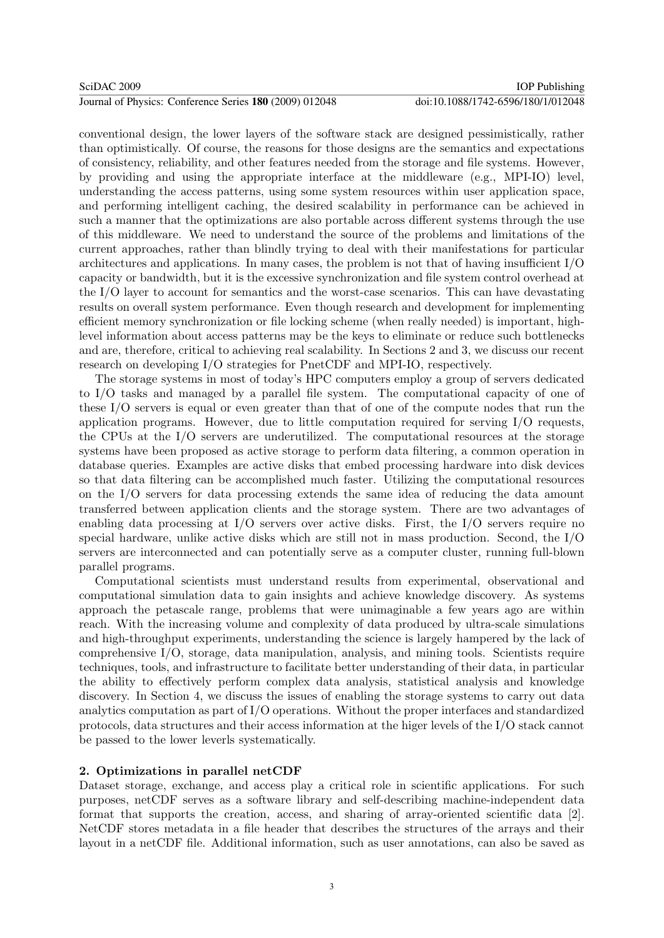conventional design, the lower layers of the software stack are designed pessimistically, rather than optimistically. Of course, the reasons for those designs are the semantics and expectations of consistency, reliability, and other features needed from the storage and file systems. However, by providing and using the appropriate interface at the middleware (e.g., MPI-IO) level, understanding the access patterns, using some system resources within user application space, and performing intelligent caching, the desired scalability in performance can be achieved in such a manner that the optimizations are also portable across different systems through the use of this middleware. We need to understand the source of the problems and limitations of the current approaches, rather than blindly trying to deal with their manifestations for particular architectures and applications. In many cases, the problem is not that of having insufficient  $I/O$ capacity or bandwidth, but it is the excessive synchronization and file system control overhead at the I/O layer to account for semantics and the worst-case scenarios. This can have devastating results on overall system performance. Even though research and development for implementing efficient memory synchronization or file locking scheme (when really needed) is important, highlevel information about access patterns may be the keys to eliminate or reduce such bottlenecks and are, therefore, critical to achieving real scalability. In Sections 2 and 3, we discuss our recent research on developing I/O strategies for PnetCDF and MPI-IO, respectively.

The storage systems in most of today's HPC computers employ a group of servers dedicated to I/O tasks and managed by a parallel file system. The computational capacity of one of these I/O servers is equal or even greater than that of one of the compute nodes that run the application programs. However, due to little computation required for serving I/O requests, the CPUs at the I/O servers are underutilized. The computational resources at the storage systems have been proposed as active storage to perform data filtering, a common operation in database queries. Examples are active disks that embed processing hardware into disk devices so that data filtering can be accomplished much faster. Utilizing the computational resources on the I/O servers for data processing extends the same idea of reducing the data amount transferred between application clients and the storage system. There are two advantages of enabling data processing at I/O servers over active disks. First, the I/O servers require no special hardware, unlike active disks which are still not in mass production. Second, the I/O servers are interconnected and can potentially serve as a computer cluster, running full-blown parallel programs.

Computational scientists must understand results from experimental, observational and computational simulation data to gain insights and achieve knowledge discovery. As systems approach the petascale range, problems that were unimaginable a few years ago are within reach. With the increasing volume and complexity of data produced by ultra-scale simulations and high-throughput experiments, understanding the science is largely hampered by the lack of comprehensive I/O, storage, data manipulation, analysis, and mining tools. Scientists require techniques, tools, and infrastructure to facilitate better understanding of their data, in particular the ability to effectively perform complex data analysis, statistical analysis and knowledge discovery. In Section 4, we discuss the issues of enabling the storage systems to carry out data analytics computation as part of I/O operations. Without the proper interfaces and standardized protocols, data structures and their access information at the higer levels of the I/O stack cannot be passed to the lower leverls systematically.

#### 2. Optimizations in parallel netCDF

Dataset storage, exchange, and access play a critical role in scientific applications. For such purposes, netCDF serves as a software library and self-describing machine-independent data format that supports the creation, access, and sharing of array-oriented scientific data [2]. NetCDF stores metadata in a file header that describes the structures of the arrays and their layout in a netCDF file. Additional information, such as user annotations, can also be saved as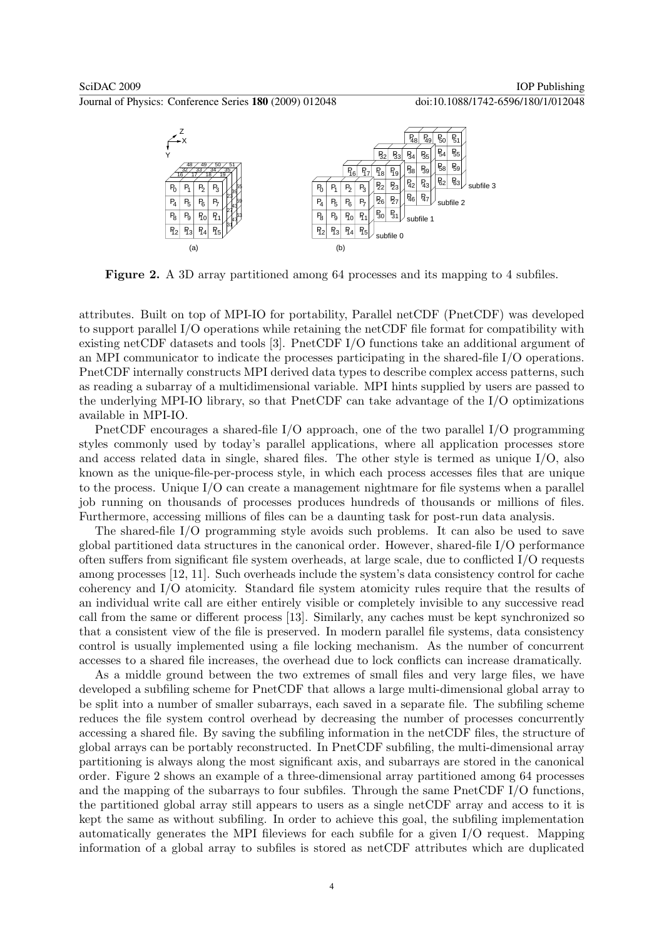

Figure 2. A 3D array partitioned among 64 processes and its mapping to 4 subfiles.

attributes. Built on top of MPI-IO for portability, Parallel netCDF (PnetCDF) was developed to support parallel I/O operations while retaining the netCDF file format for compatibility with existing netCDF datasets and tools [3]. PnetCDF I/O functions take an additional argument of an MPI communicator to indicate the processes participating in the shared-file I/O operations. PnetCDF internally constructs MPI derived data types to describe complex access patterns, such as reading a subarray of a multidimensional variable. MPI hints supplied by users are passed to the underlying MPI-IO library, so that PnetCDF can take advantage of the I/O optimizations available in MPI-IO.

PnetCDF encourages a shared-file I/O approach, one of the two parallel I/O programming styles commonly used by today's parallel applications, where all application processes store and access related data in single, shared files. The other style is termed as unique  $I/O$ , also known as the unique-file-per-process style, in which each process accesses files that are unique to the process. Unique  $I/O$  can create a management nightmare for file systems when a parallel job running on thousands of processes produces hundreds of thousands or millions of files. Furthermore, accessing millions of files can be a daunting task for post-run data analysis.

The shared-file I/O programming style avoids such problems. It can also be used to save global partitioned data structures in the canonical order. However, shared-file I/O performance often suffers from significant file system overheads, at large scale, due to conflicted I/O requests among processes [12, 11]. Such overheads include the system's data consistency control for cache coherency and I/O atomicity. Standard file system atomicity rules require that the results of an individual write call are either entirely visible or completely invisible to any successive read call from the same or different process [13]. Similarly, any caches must be kept synchronized so that a consistent view of the file is preserved. In modern parallel file systems, data consistency control is usually implemented using a file locking mechanism. As the number of concurrent accesses to a shared file increases, the overhead due to lock conflicts can increase dramatically.

As a middle ground between the two extremes of small files and very large files, we have developed a subfiling scheme for PnetCDF that allows a large multi-dimensional global array to be split into a number of smaller subarrays, each saved in a separate file. The subfiling scheme reduces the file system control overhead by decreasing the number of processes concurrently accessing a shared file. By saving the subfiling information in the netCDF files, the structure of global arrays can be portably reconstructed. In PnetCDF subfiling, the multi-dimensional array partitioning is always along the most significant axis, and subarrays are stored in the canonical order. Figure 2 shows an example of a three-dimensional array partitioned among 64 processes and the mapping of the subarrays to four subfiles. Through the same PnetCDF I/O functions, the partitioned global array still appears to users as a single netCDF array and access to it is kept the same as without subfiling. In order to achieve this goal, the subfiling implementation automatically generates the MPI fileviews for each subfile for a given I/O request. Mapping information of a global array to subfiles is stored as netCDF attributes which are duplicated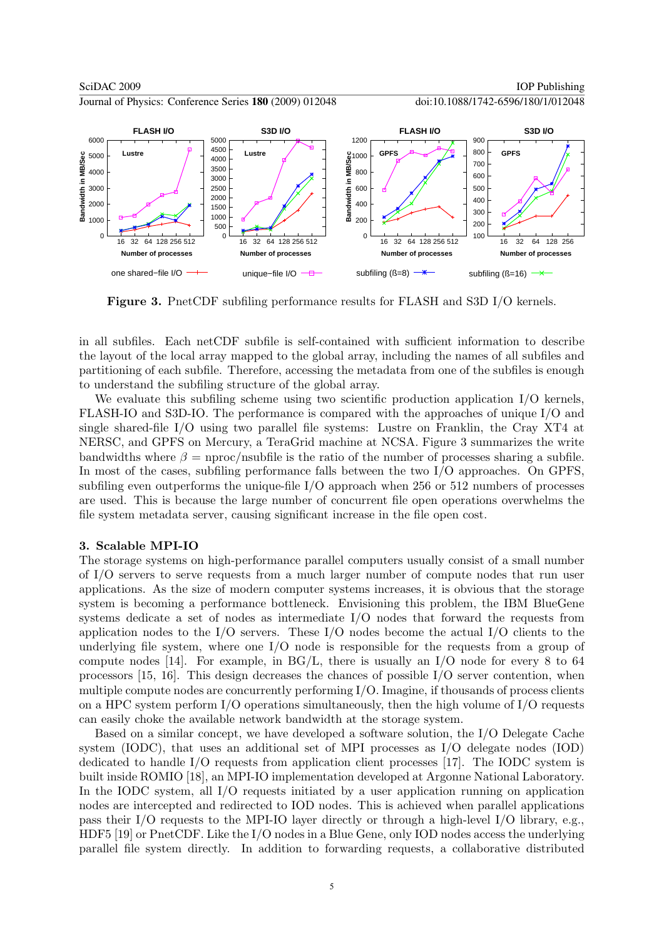

Figure 3. PnetCDF subfiling performance results for FLASH and S3D I/O kernels.

in all subfiles. Each netCDF subfile is self-contained with sufficient information to describe the layout of the local array mapped to the global array, including the names of all subfiles and partitioning of each subfile. Therefore, accessing the metadata from one of the subfiles is enough to understand the subfiling structure of the global array.

We evaluate this subfiling scheme using two scientific production application I/O kernels, FLASH-IO and S3D-IO. The performance is compared with the approaches of unique I/O and single shared-file I/O using two parallel file systems: Lustre on Franklin, the Cray XT4 at NERSC, and GPFS on Mercury, a TeraGrid machine at NCSA. Figure 3 summarizes the write bandwidths where  $\beta =$  nproc/nsubfile is the ratio of the number of processes sharing a subfile. In most of the cases, subfiling performance falls between the two I/O approaches. On GPFS, subfiling even outperforms the unique-file I/O approach when 256 or 512 numbers of processes are used. This is because the large number of concurrent file open operations overwhelms the file system metadata server, causing significant increase in the file open cost.

#### 3. Scalable MPI-IO

The storage systems on high-performance parallel computers usually consist of a small number of I/O servers to serve requests from a much larger number of compute nodes that run user applications. As the size of modern computer systems increases, it is obvious that the storage system is becoming a performance bottleneck. Envisioning this problem, the IBM BlueGene systems dedicate a set of nodes as intermediate I/O nodes that forward the requests from application nodes to the I/O servers. These I/O nodes become the actual I/O clients to the underlying file system, where one I/O node is responsible for the requests from a group of compute nodes [14]. For example, in  $BG/L$ , there is usually an  $I/O$  node for every 8 to 64 processors  $[15, 16]$ . This design decreases the chances of possible  $I/O$  server contention, when multiple compute nodes are concurrently performing I/O. Imagine, if thousands of process clients on a HPC system perform  $I/O$  operations simultaneously, then the high volume of  $I/O$  requests can easily choke the available network bandwidth at the storage system.

Based on a similar concept, we have developed a software solution, the I/O Delegate Cache system (IODC), that uses an additional set of MPI processes as I/O delegate nodes (IOD) dedicated to handle I/O requests from application client processes [17]. The IODC system is built inside ROMIO [18], an MPI-IO implementation developed at Argonne National Laboratory. In the IODC system, all I/O requests initiated by a user application running on application nodes are intercepted and redirected to IOD nodes. This is achieved when parallel applications pass their I/O requests to the MPI-IO layer directly or through a high-level I/O library, e.g., HDF5 [19] or PnetCDF. Like the I/O nodes in a Blue Gene, only IOD nodes access the underlying parallel file system directly. In addition to forwarding requests, a collaborative distributed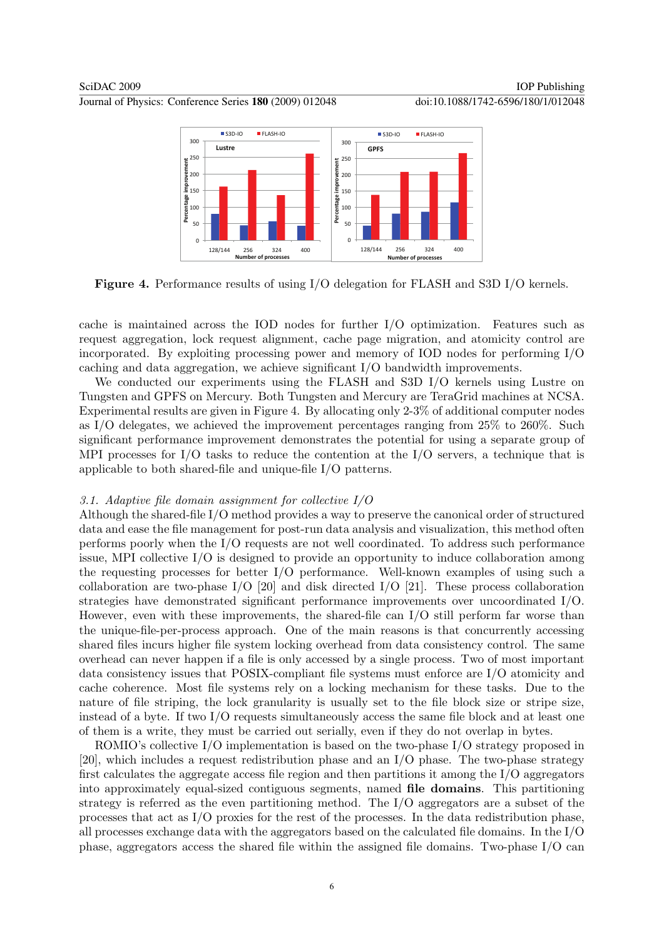

Figure 4. Performance results of using I/O delegation for FLASH and S3D I/O kernels.

cache is maintained across the IOD nodes for further I/O optimization. Features such as request aggregation, lock request alignment, cache page migration, and atomicity control are incorporated. By exploiting processing power and memory of IOD nodes for performing I/O caching and data aggregation, we achieve significant I/O bandwidth improvements.

We conducted our experiments using the FLASH and S3D I/O kernels using Lustre on Tungsten and GPFS on Mercury. Both Tungsten and Mercury are TeraGrid machines at NCSA. Experimental results are given in Figure 4. By allocating only 2-3% of additional computer nodes as I/O delegates, we achieved the improvement percentages ranging from 25% to 260%. Such significant performance improvement demonstrates the potential for using a separate group of MPI processes for  $I/O$  tasks to reduce the contention at the  $I/O$  servers, a technique that is applicable to both shared-file and unique-file I/O patterns.

#### 3.1. Adaptive file domain assignment for collective I/O

Although the shared-file I/O method provides a way to preserve the canonical order of structured data and ease the file management for post-run data analysis and visualization, this method often performs poorly when the I/O requests are not well coordinated. To address such performance issue, MPI collective  $I/O$  is designed to provide an opportunity to induce collaboration among the requesting processes for better I/O performance. Well-known examples of using such a collaboration are two-phase  $I/O$  [20] and disk directed  $I/O$  [21]. These process collaboration strategies have demonstrated significant performance improvements over uncoordinated I/O. However, even with these improvements, the shared-file can I/O still perform far worse than the unique-file-per-process approach. One of the main reasons is that concurrently accessing shared files incurs higher file system locking overhead from data consistency control. The same overhead can never happen if a file is only accessed by a single process. Two of most important data consistency issues that POSIX-compliant file systems must enforce are I/O atomicity and cache coherence. Most file systems rely on a locking mechanism for these tasks. Due to the nature of file striping, the lock granularity is usually set to the file block size or stripe size, instead of a byte. If two I/O requests simultaneously access the same file block and at least one of them is a write, they must be carried out serially, even if they do not overlap in bytes.

ROMIO's collective I/O implementation is based on the two-phase I/O strategy proposed in [20], which includes a request redistribution phase and an I/O phase. The two-phase strategy first calculates the aggregate access file region and then partitions it among the I/O aggregators into approximately equal-sized contiguous segments, named file domains. This partitioning strategy is referred as the even partitioning method. The I/O aggregators are a subset of the processes that act as I/O proxies for the rest of the processes. In the data redistribution phase, all processes exchange data with the aggregators based on the calculated file domains. In the I/O phase, aggregators access the shared file within the assigned file domains. Two-phase I/O can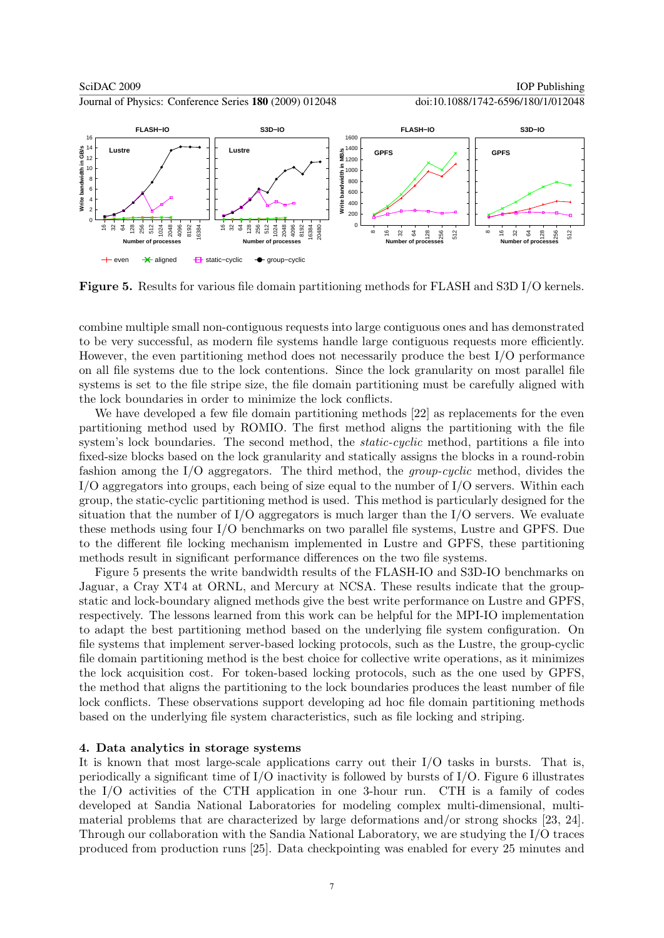

Figure 5. Results for various file domain partitioning methods for FLASH and S3D I/O kernels.

combine multiple small non-contiguous requests into large contiguous ones and has demonstrated to be very successful, as modern file systems handle large contiguous requests more efficiently. However, the even partitioning method does not necessarily produce the best I/O performance on all file systems due to the lock contentions. Since the lock granularity on most parallel file systems is set to the file stripe size, the file domain partitioning must be carefully aligned with the lock boundaries in order to minimize the lock conflicts.

We have developed a few file domain partitioning methods [22] as replacements for the even partitioning method used by ROMIO. The first method aligns the partitioning with the file system's lock boundaries. The second method, the *static-cyclic* method, partitions a file into fixed-size blocks based on the lock granularity and statically assigns the blocks in a round-robin fashion among the I/O aggregators. The third method, the group-cyclic method, divides the I/O aggregators into groups, each being of size equal to the number of I/O servers. Within each group, the static-cyclic partitioning method is used. This method is particularly designed for the situation that the number of  $I/O$  aggregators is much larger than the  $I/O$  servers. We evaluate these methods using four I/O benchmarks on two parallel file systems, Lustre and GPFS. Due to the different file locking mechanism implemented in Lustre and GPFS, these partitioning methods result in significant performance differences on the two file systems.

Figure 5 presents the write bandwidth results of the FLASH-IO and S3D-IO benchmarks on Jaguar, a Cray XT4 at ORNL, and Mercury at NCSA. These results indicate that the groupstatic and lock-boundary aligned methods give the best write performance on Lustre and GPFS, respectively. The lessons learned from this work can be helpful for the MPI-IO implementation to adapt the best partitioning method based on the underlying file system configuration. On file systems that implement server-based locking protocols, such as the Lustre, the group-cyclic file domain partitioning method is the best choice for collective write operations, as it minimizes the lock acquisition cost. For token-based locking protocols, such as the one used by GPFS, the method that aligns the partitioning to the lock boundaries produces the least number of file lock conflicts. These observations support developing ad hoc file domain partitioning methods based on the underlying file system characteristics, such as file locking and striping.

# 4. Data analytics in storage systems

It is known that most large-scale applications carry out their I/O tasks in bursts. That is, periodically a significant time of  $I/O$  inactivity is followed by bursts of  $I/O$ . Figure 6 illustrates the I/O activities of the CTH application in one 3-hour run. CTH is a family of codes developed at Sandia National Laboratories for modeling complex multi-dimensional, multimaterial problems that are characterized by large deformations and/or strong shocks [23, 24]. Through our collaboration with the Sandia National Laboratory, we are studying the I/O traces produced from production runs [25]. Data checkpointing was enabled for every 25 minutes and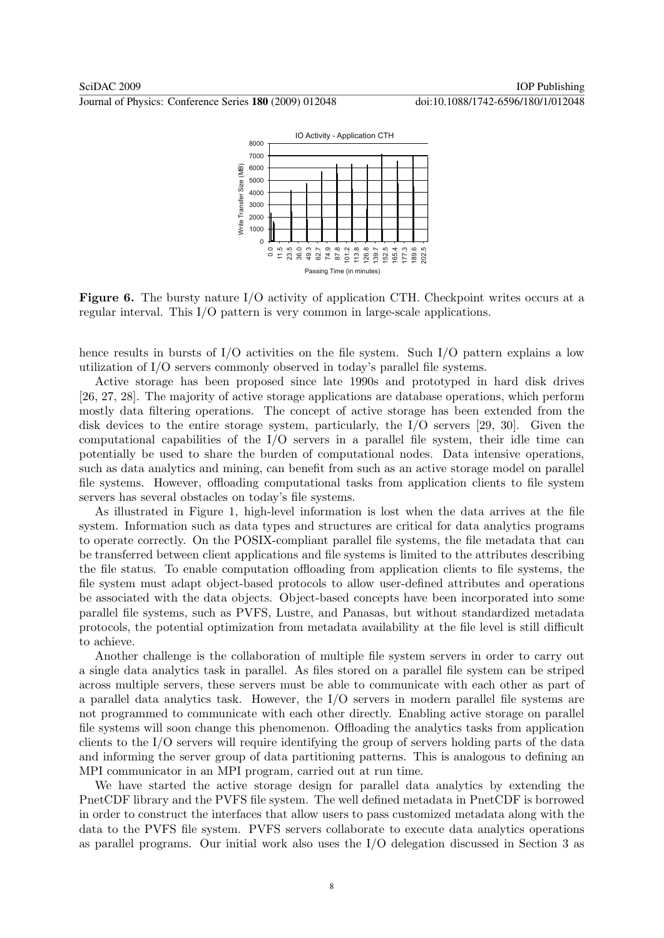

Figure 6. The bursty nature I/O activity of application CTH. Checkpoint writes occurs at a regular interval. This I/O pattern is very common in large-scale applications.

hence results in bursts of I/O activities on the file system. Such I/O pattern explains a low utilization of I/O servers commonly observed in today's parallel file systems.

Active storage has been proposed since late 1990s and prototyped in hard disk drives [26, 27, 28]. The majority of active storage applications are database operations, which perform mostly data filtering operations. The concept of active storage has been extended from the disk devices to the entire storage system, particularly, the I/O servers [29, 30]. Given the computational capabilities of the I/O servers in a parallel file system, their idle time can potentially be used to share the burden of computational nodes. Data intensive operations, such as data analytics and mining, can benefit from such as an active storage model on parallel file systems. However, offloading computational tasks from application clients to file system servers has several obstacles on today's file systems.

As illustrated in Figure 1, high-level information is lost when the data arrives at the file system. Information such as data types and structures are critical for data analytics programs to operate correctly. On the POSIX-compliant parallel file systems, the file metadata that can be transferred between client applications and file systems is limited to the attributes describing the file status. To enable computation offloading from application clients to file systems, the file system must adapt object-based protocols to allow user-defined attributes and operations be associated with the data objects. Object-based concepts have been incorporated into some parallel file systems, such as PVFS, Lustre, and Panasas, but without standardized metadata protocols, the potential optimization from metadata availability at the file level is still difficult to achieve.

Another challenge is the collaboration of multiple file system servers in order to carry out a single data analytics task in parallel. As files stored on a parallel file system can be striped across multiple servers, these servers must be able to communicate with each other as part of a parallel data analytics task. However, the I/O servers in modern parallel file systems are not programmed to communicate with each other directly. Enabling active storage on parallel file systems will soon change this phenomenon. Offloading the analytics tasks from application clients to the I/O servers will require identifying the group of servers holding parts of the data and informing the server group of data partitioning patterns. This is analogous to defining an MPI communicator in an MPI program, carried out at run time.

We have started the active storage design for parallel data analytics by extending the PnetCDF library and the PVFS file system. The well defined metadata in PnetCDF is borrowed in order to construct the interfaces that allow users to pass customized metadata along with the data to the PVFS file system. PVFS servers collaborate to execute data analytics operations as parallel programs. Our initial work also uses the I/O delegation discussed in Section 3 as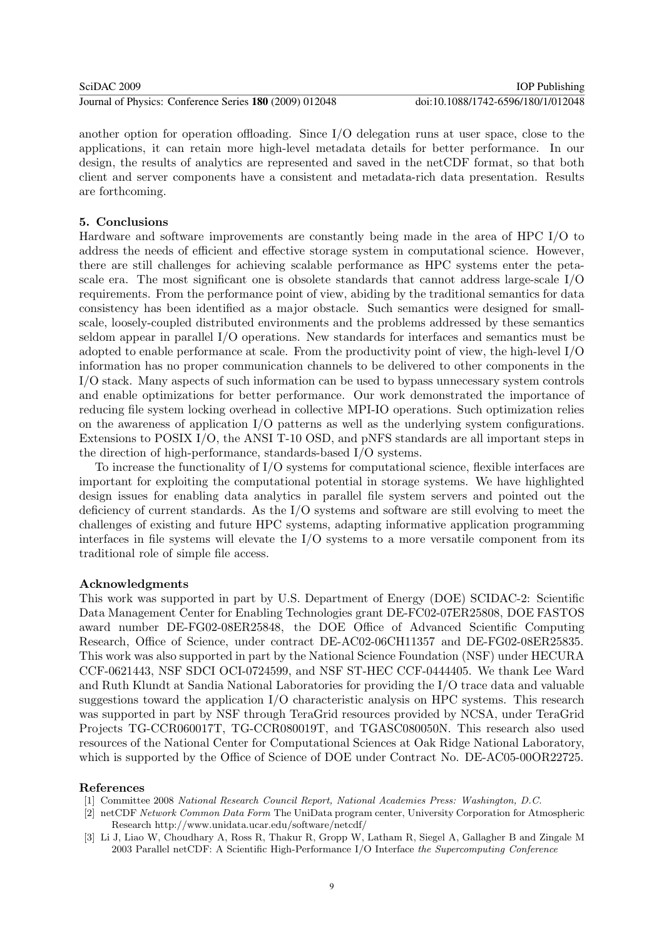another option for operation offloading. Since I/O delegation runs at user space, close to the applications, it can retain more high-level metadata details for better performance. In our design, the results of analytics are represented and saved in the netCDF format, so that both client and server components have a consistent and metadata-rich data presentation. Results are forthcoming.

# 5. Conclusions

Hardware and software improvements are constantly being made in the area of HPC I/O to address the needs of efficient and effective storage system in computational science. However, there are still challenges for achieving scalable performance as HPC systems enter the petascale era. The most significant one is obsolete standards that cannot address large-scale I/O requirements. From the performance point of view, abiding by the traditional semantics for data consistency has been identified as a major obstacle. Such semantics were designed for smallscale, loosely-coupled distributed environments and the problems addressed by these semantics seldom appear in parallel I/O operations. New standards for interfaces and semantics must be adopted to enable performance at scale. From the productivity point of view, the high-level I/O information has no proper communication channels to be delivered to other components in the I/O stack. Many aspects of such information can be used to bypass unnecessary system controls and enable optimizations for better performance. Our work demonstrated the importance of reducing file system locking overhead in collective MPI-IO operations. Such optimization relies on the awareness of application I/O patterns as well as the underlying system configurations. Extensions to POSIX I/O, the ANSI T-10 OSD, and pNFS standards are all important steps in the direction of high-performance, standards-based I/O systems.

To increase the functionality of I/O systems for computational science, flexible interfaces are important for exploiting the computational potential in storage systems. We have highlighted design issues for enabling data analytics in parallel file system servers and pointed out the deficiency of current standards. As the I/O systems and software are still evolving to meet the challenges of existing and future HPC systems, adapting informative application programming interfaces in file systems will elevate the I/O systems to a more versatile component from its traditional role of simple file access.

# Acknowledgments

This work was supported in part by U.S. Department of Energy (DOE) SCIDAC-2: Scientific Data Management Center for Enabling Technologies grant DE-FC02-07ER25808, DOE FASTOS award number DE-FG02-08ER25848, the DOE Office of Advanced Scientific Computing Research, Office of Science, under contract DE-AC02-06CH11357 and DE-FG02-08ER25835. This work was also supported in part by the National Science Foundation (NSF) under HECURA CCF-0621443, NSF SDCI OCI-0724599, and NSF ST-HEC CCF-0444405. We thank Lee Ward and Ruth Klundt at Sandia National Laboratories for providing the I/O trace data and valuable suggestions toward the application I/O characteristic analysis on HPC systems. This research was supported in part by NSF through TeraGrid resources provided by NCSA, under TeraGrid Projects TG-CCR060017T, TG-CCR080019T, and TGASC080050N. This research also used resources of the National Center for Computational Sciences at Oak Ridge National Laboratory, which is supported by the Office of Science of DOE under Contract No. DE-AC05-00OR22725.

### References

- [1] Committee 2008 *National Research Council Report, National Academies Press: Washington, D.C.*
- [2] netCDF *Network Common Data Form* The UniData program center, University Corporation for Atmospheric Research http://www.unidata.ucar.edu/software/netcdf/
- [3] Li J, Liao W, Choudhary A, Ross R, Thakur R, Gropp W, Latham R, Siegel A, Gallagher B and Zingale M 2003 Parallel netCDF: A Scientific High-Performance I/O Interface *the Supercomputing Conference*